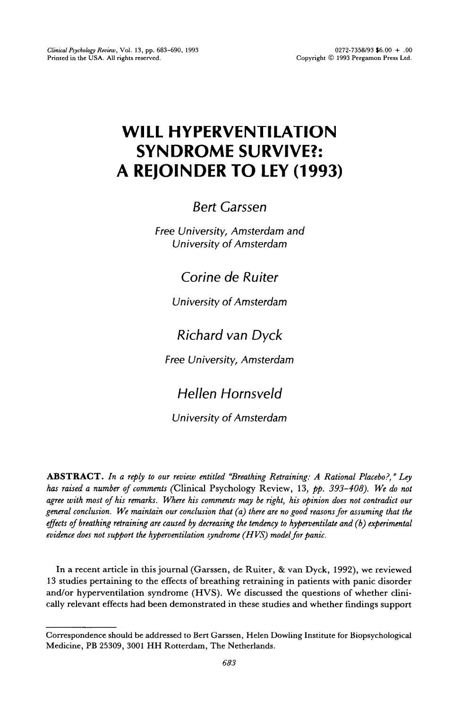# **WILL HYPERVENTILATION SYNDROME SURVIVE?: A REJOINDER TO LEY (1993)**

Bert *Garssen* 

**Free University, Amsterdam and** University of Amsterdam

*Corine de Ruiter* 

**University of Amsterdam** 

## *Richard van Dyck*

**Free University, Amsterdam** 

## He/fen *Hornsveld*

University *of Amsterdam* 

ABSTRACT. *In a reply to our review entitled "Breathing Retraining: A Rational Placebo?," Ley has raised a number of comments* (Clinical Psychology Review, 13, pp. 393-408). We *do not*  agree with most of his remarks. Where his comments may be right, his opinion does not contradict our general conclusion. We maintain our conclusion that (a) there are no good reasons for assuming that the *effects of breathing retraining are caused by decreasing the tendency to hyperventilate and (6) experimental evidence does not support the hyperventilation syndrome (HVS) model for panic.* 

In a recent article in this journal (Garssen, de Ruiter, & van Dyck, 1992), we reviewed 13 studies pertaining to the effects of breathing retraining in patients with panic disorder and/or hyperventilation syndrome (HVS). We discussed the questions of whether clinically relevant effects had been demonstrated in these studies and whether findings support

Correspondence should be addressed to **Bert** Garssen, Helen **Dowling Institute for Biopsychological Medicine, PB 25309, 3001 HH Rotterdam, The Netherlands.**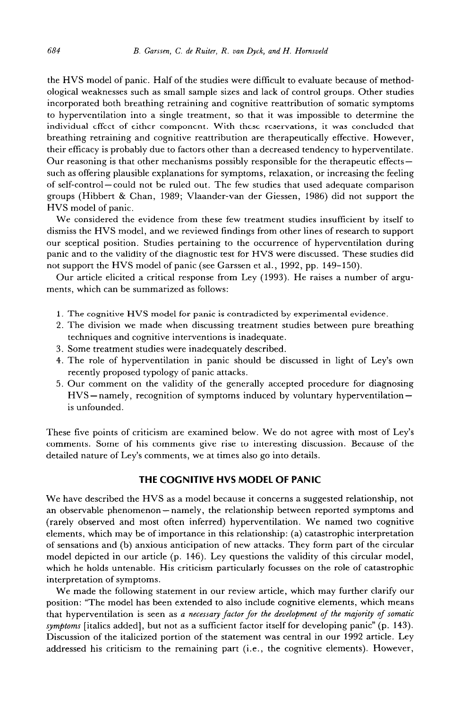the HVS model of panic. Half of the studies were difficult to evaluate because of methodological weaknesses such as small sample sizes and lack of control groups. Other studies incorporated both breathing retraining and cognitive reattribution of somatic symptoms to hyperventilation into a single treatment, so that it was impossible to determine the individual effect of either component. With these reservations, it was concluded that breathing retraining and cognitive reattribution are therapeutically effective. However, their efficacy is probably due to factors other than a decreased tendency to hyperventilate. Our reasoning is that other mechanisms possibly responsible for the therapeutic effectssuch as offering plausible explanations for symptoms, relaxation, or increasing the feeling of self-control-could not be ruled out. The few studies that used adequate comparison groups (Hibbert & Chan, 1989; Vlaander-van der Giessen, 1986) did not support the HVS model of panic.

We considered the evidence from these few treatment studies insufficient by itself to dismiss the HVS model, and we reviewed findings from other lines of research to support our sceptical position. Studies pertaining to the occurrence of hyperventilation during panic and to the validity of the diagnostic test for HVS were discussed. These studies did not support the HVS model of panic (see Garssen et al., 1992, pp. 149-150).

Our article elicited a critical response from Ley (1993). He raises a number of arguments, which can be summarized as follows:

- 1. The cognitive HVS model for panic is contradicted by experimental evidence.
- 2. The division we made when discussing treatment studies between pure breathing techniques and cognitive interventions is inadequate.
- 3. Some treatment studies were inadequately described.
- 4. The role of hyperventilation in panic should be discussed in light of Ley's own recently proposed typology of panic attacks.
- 5. Our comment on the validity of the generally accepted procedure for diagnosing HVS-namely, recognition of symptoms induced by voluntary hyperventilationis unfounded.

These five points of criticism are examined below. We do not agree with most of Ley's comments. Some of his comments give rise to interesting discussion. Because of the detailed nature of Ley's comments, we at times also go into details.

#### **THE COGNITIVE HVS MODEL OF PANIC**

We have described the HVS as a model because it concerns a suggested relationship, not an observable phenomenon - namely, the relationship between reported symptoms and (rarely observed and most often inferred) hyperventilation. We named two cognitive elements, which may be of importance in this relationship: (a) catastrophic interpretation of sensations and (b) anxious anticipation of new attacks. They form part of the circular model depicted in our article (p. 146). Ley questions the validity of this circular model, which he holds untenable. His criticism particularly focusses on the role of catastrophic interpretation of symptoms.

We made the following statement in our review article, which may further clarify our position: "The model has been extended to also include cognitive elements, which means that hyperventilation is seen as a necessary *factor for the development of the majority of somatic symptoms* [italics added], but not as a sufficient factor itself for developing panic" (p. 143). Discussion of the italicized portion of the statement was central in our 1992 article. Ley addressed his criticism to the remaining part (i.e., the cognitive elements). However,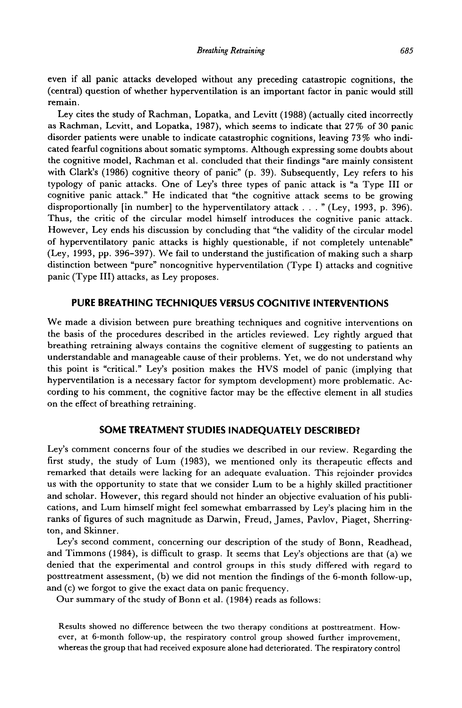even if all panic attacks developed without any preceding catastropic cognitions, the (central) question of whether hyperventilation is an important factor in panic would still remain.

Ley cites the study of Rachman, Lopatka, and Levitt (1988) (actually cited incorrectly as Rachman, Levitt, and Lopatka, 1987), which seems to indicate that 27% of 30 panic disorder patients were unable to indicate catastrophic cognitions, leaving 73 % who indicated fearful cognitions about somatic symptoms. Although expressing some doubts about the cognitive model, Rachman et al. concluded that their findings "are mainly consistent with Clark's (1986) cognitive theory of panic" (p. 39). Subsequently, Ley refers to his typology of panic attacks. One of Ley's three types of panic attack is "a Type III or cognitive panic attack." He indicated that "the cognitive attack seems to be growing disproportionally [in number] to the hyperventilatory attack . . . " (Ley, 1993, p. 396). Thus, the critic of the circular model himself introduces the cognitive panic attack. However, Ley ends his discussion by concluding that "the validity of the circular model of hyperventilatory panic attacks is highly questionable, if not completely untenable" (Ley, 1993, pp. 396-397). We fail to understand the justification of making such a sharp distinction between "pure" noncognitive hyperventilation (Type I) attacks and cognitive panic (Type III) attacks, as Ley proposes.

### **PURE BREATHING TECHNIQUES VERSUS COGNITIVE INTERVENTIONS**

We made a division between pure breathing techniques and cognitive interventions on the basis of the procedures described in the articles reviewed. Ley rightly argued that breathing retraining always contains the cognitive element of suggesting to patients an understandable and manageable cause of their problems. Yet, we do not understand why this point is "critical." Ley's position makes the HVS model of panic (implying that hyperventilation is a necessary factor for symptom development) more problematic. According to his comment, the cognitive factor may be the effective element in all studies on the effect of breathing retraining.

#### **SOME TREATMENT STUDIES INADEQUATELY DESCRIBED?**

Ley's comment concerns four of the studies we described in our review. Regarding the first study, the study of Lum (1983), we mentioned only its therapeutic effects and remarked that details were lacking for an adequate evaluation. This rejoinder provides us with the opportunity to state that we consider Lum to be a highly skilled practitioner and scholar. However, this regard should not hinder an objective evaluation of his publications, and Lum himself might feel somewhat embarrassed by Ley's placing him in the ranks of figures of such magnitude as Darwin, Freud, James, Pavlov, Piaget, Sherrington, and Skinner.

Ley's second comment, concerning our description of the study of Bonn, Readhead, and Timmons (1984), is difficult to grasp. It seems that Ley's objections are that (a) we denied that the experimental and control groups in this study differed with regard to posttreatment assessment, (b) we did not mention the findings of the 6-month follow-up, and (c) we forgot to give the exact data on panic frequency.

Our summary of the study of Bonn et al. (1984) reads as follows:

Results showed no difference between the two therapy conditions at posttreatment. However, at 6-month follow-up, the respiratory control group showed further improvement, whereas the group that had received exposure alone had deteriorated. The respiratory control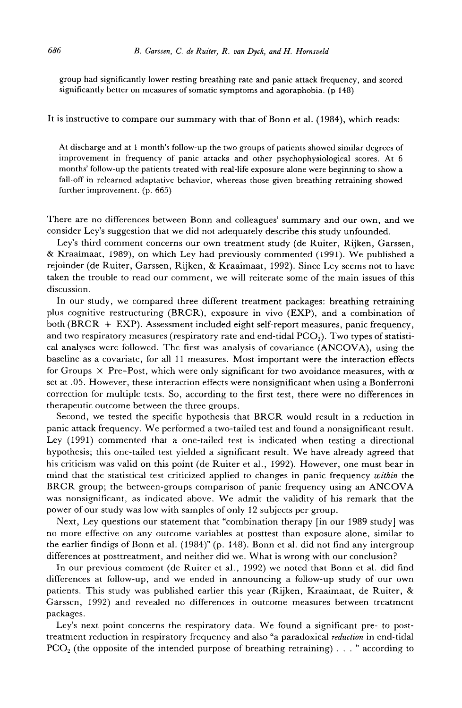group had significantly lower resting breathing rate and panic attack frequency, and scored significantly better on measures of somatic symptoms and agoraphobia. (p 148)

## It is instructive to compare our summary with that of Bonn et al. (1984), which reads:

At discharge and at 1 month's follow-up the two groups of patients showed similar degrees of improvement in frequency of panic attacks and other psychophysiological scores. At *6*  months' follow-up the patients treated with real-life exposure alone were beginning to show a fall-off in relearned adaptative behavior, whereas those given breathing retraining showed further improvement. (p. 665)

There are no differences between Bonn and colleagues' summary and our own, and we consider Ley's suggestion that we did not adequately describe this study unfounded.

Ley's third comment concerns our own treatment study (de Ruiter, Rijken, Garssen, & Kraaimaat, 1989), on which Ley had previously commented (1991). We published a rejoinder (de Ruiter, Garssen, Rijken, & Kraaimaat, 1992). Since Ley seems not to have taken the trouble to read our comment, we will reiterate some of the main issues of this discussion.

In our study, we compared three different treatment packages: breathing retraining plus cognitive restructuring (BRCR), exposure in vivo (EXP), and a combination of both (BRCR + EXP). Assessment included eight self-report measures, panic frequency, and two respiratory measures (respiratory rate and end-tidal  $PCO<sub>2</sub>$ ). Two types of statistical analyses were followed. The first was analysis of covariance (ANCOVA), using the baseline as a covariate, for all 11 measures. Most important were the interaction effects for Groups  $\times$  Pre-Post, which were only significant for two avoidance measures, with  $\alpha$ set at .05. However, these interaction effects were nonsignificant when using a Bonferroni correction for multiple tests. So, according to the first test, there were no differences in therapeutic outcome between the three groups.

Second, we tested the specific hypothesis that BRCR would result in a reduction in panic attack frequency. We performed a two-tailed test and found a nonsignificant result. Ley (1991) commented that a one-tailed test is indicated when testing a directional hypothesis; this one-tailed test yielded a significant result. We have already agreed that his criticism was valid on this point (de Ruiter et al., 1992). However, one must bear in mind that the statistical test criticized applied to changes in panic frequency within the BRCR group; the between-groups comparison of panic frequency using an ANCOVA was nonsignificant, as indicated above. We admit the validity of his remark that the power of our study was low with samples of only 12 subjects per group.

Next, Ley questions our statement that "combination therapy [in our 1989 study] was no more effective on any outcome variables at posttest than exposure alone, similar to the earlier findigs of Bonn et al. (1984)" (p. 148). Bonn et al. did not find any intergroup differences at posttreatment, and neither did we. What is wrong with our conclusion?

In our previous comment (de Ruiter et al., 1992) we noted that Bonn et al. did find differences at follow-up, and we ended in announcing a follow-up study of our own patients. This study was published earlier this year (Rijken, Kraaimaat, de Ruiter, & Garssen, 1992) and revealed no differences in outcome measures between treatment packages.

Ley's next point concerns the respiratory data. We found a significant pre- to posttreatment reduction in respiratory frequency and also "a paradoxical *reduction* in end-tidal  $PCO<sub>2</sub>$  (the opposite of the intended purpose of breathing retraining) . . . " according to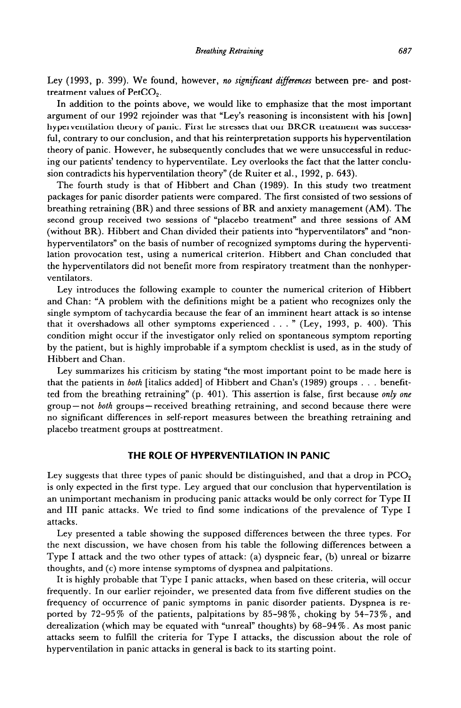Ley (1993, p. 399). We found, however, no *significant differences* between pre- and posttreatment values of PetCO,.

In addition to the points above, we would like to emphasize that the most important argument of our 1992 rejoinder was that "Ley's reasoning is inconsistent with his [own] hyperventilation theory of panic. First he stresses that our BRCR treatment was successful, contrary to our conclusion, and that his reinterpretation supports his hyperventilation theory of panic. However, he subsequently concludes that we were unsuccessful in reducing our patients' tendency to hyperventilate. Ley overlooks the fact that the latter conclusion contradicts his hyperventilation theory" (de Ruiter et al., 1992, p. 643).

The fourth study is that of Hibbert and Chan (1989). In this study two treatment packages for panic disorder patients were compared. The first consisted of two sessions of breathing retraining (BR) and three sessions of BR and anxiety management (AM). The second group received two sessions of "placebo treatment" and three sessions of AM (without BR). Hibbert and Chan divided their patients into "hyperventilators" and "nonhyperventilators" on the basis of number of recognized symptoms during the hyperventilation provocation test, using a numerical criterion. Hibbert and Chan concluded that the hyperventilators did not benefit more from respiratory treatment than the nonhyperventilators.

Ley introduces the following example to counter the numerical criterion of Hibbert and Chan: "A problem with the definitions might be a patient who recognizes only the single symptom of tachycardia because the fear of an imminent heart attack is so intense that it overshadows all other symptoms experienced . . . " (Ley, 1993, p. 400). This condition might occur if the investigator only relied on spontaneous symptom reporting by the patient, but is highly improbable if a symptom checklist is used, as in the study of Hibbert and Chan.

Ley summarizes his criticism by stating "the most important point to be made here is that the patients in *both* [italics added] of Hibbert and Chan's (1989) groups . . . benefitted from the breathing retraining" (p. 401). This assertion is false, first because only one group-not *both* groups-received breathing retraining, and second because there were no significant differences in self-report measures between the breathing retraining and placebo treatment groups at posttreatment.

#### **THE ROLE OF HYPERVENTILATION IN PANIC**

Ley suggests that three types of panic should be distinguished, and that a drop in  $PCO<sub>2</sub>$ is only expected in the first type. Ley argued that our conclusion that hyperventilation is an unimportant mechanism in producing panic attacks would be only correct for Type II and III panic attacks. We tried to find some indications of the prevalence of Type I attacks.

Ley presented a table showing the supposed differences between the three types. For the next discussion, we have chosen from his table the following differences between a Type I attack and the two other types of attack: (a) dyspneic fear, (b) unreal or bizarre thoughts, and (c) more intense symptoms of dyspnea and palpitations.

It is highly probable that Type I panic attacks, when based on these criteria, will occur frequently. In our earlier rejoinder, we presented data from five different studies on the frequency of occurrence of panic symptoms in panic disorder patients. Dyspnea is reported by 72-95% of the patients, palpitations by 85-98%, choking by 54-73%, and derealization (which may be equated with "unreal" thoughts) by  $68-94\%$ . As most panic attacks seem to fulfill the criteria for Type I attacks, the discussion about the role of hyperventilation in panic attacks in general is back to its starting point.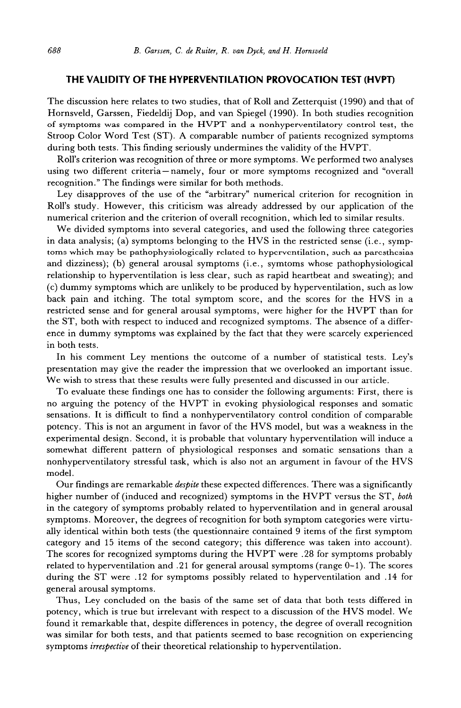## **THE VALIDITY OF THE HYPERVENTILATION PROVOCATION TEST (HVPT)**

The discussion here relates to two studies, that of Roll and Zetterquist (1990) and that of Hornsveld, Garssen, Fiedeldij Dop, and van Spiegel (1990). In both studies recognition of symptoms was compared in the HVPT and a nonhyperventilatory control test, the Stroop Color Word Test (ST). A comparable number of patients recognized symptoms during both tests. This finding seriously undermines the validity of the HVPT.

Roll's criterion was recognition of three or more symptoms. We performed two analyses using two different criteria-namely, four or more symptoms recognized and "overall recognition." The findings were similar for both methods.

Ley disapproves of the use of the "arbitrary" numerical criterion for recognition in Roll's study. However, this criticism was already addressed by our application of the numerical criterion and the criterion of overall recognition, which led to similar results.

We divided symptoms into several categories, and used the following three categories in data analysis; (a) symptoms belonging to the HVS in the restricted sense (i.e., symptoms which may be pathophysiologically related to hyperventilation, such as paresthesias and dizziness); (b) general arousal symptoms (i.e., symtoms whose pathophysiological relationship to hyperventilation is less clear, such as rapid heartbeat and sweating); and (c) dummy symptoms which are unlikely to be produced by hyperventilation, such as low back pain and itching. The total symptom score, and the scores for the HVS in a restricted sense and for general arousal symptoms, were higher for the HVPT than for the ST, both with respect to induced and recognized symptoms. The absence of a difference in dummy symptoms was explained by the fact that they were scarcely experienced in both tests.

In his comment Ley mentions the outcome of a number of statistical tests. Ley's presentation may give the reader the impression that we overlooked an important issue. We wish to stress that these results were fully presented and discussed in our article.

To evaluate these findings one has to consider the following arguments: First, there is no arguing the potency of the HVPT in evoking physiological responses and somatic sensations. It is difficult to find a nonhyperventilatory control condition of comparable potency. This is not an argument in favor of the HVS model, but was a weakness in the experimental design. Second, it is probable that voluntary hyperventilation will induce a somewhat different pattern of physiological responses and somatic sensations than a nonhyperventilatory stressful task, which is also not an argument in favour of the HVS model.

Our findings are remarkable *despite* these expected differences. There was a significantly higher number of (induced and recognized) symptoms in the HVPT versus the ST, both in the category of symptoms probably related to hyperventilation and in general arousal symptoms. Moreover, the degrees of recognition for both symptom categories were virtually identical within both tests (the questionnaire contained 9 items of the first symptom category and 15 items of the second category; this difference was taken into account). The scores for recognized symptoms during the HVPT were .28 for symptoms probably related to hyperventilation and .21 for general arousal symptoms (range 0-1). The scores during the ST were .12 for symptoms possibly related to hyperventilation and .14 for general arousal symptoms.

Thus, Ley concluded on the basis of the same set of data that both tests differed in potency, which is true but irrelevant with respect to a discussion of the HVS model. We found it remarkable that, despite differences in potency, the degree of overall recognition was similar for both tests, and that patients seemed to base recognition on experiencing symptoms *irrespective* of their theoretical relationship to hyperventilation.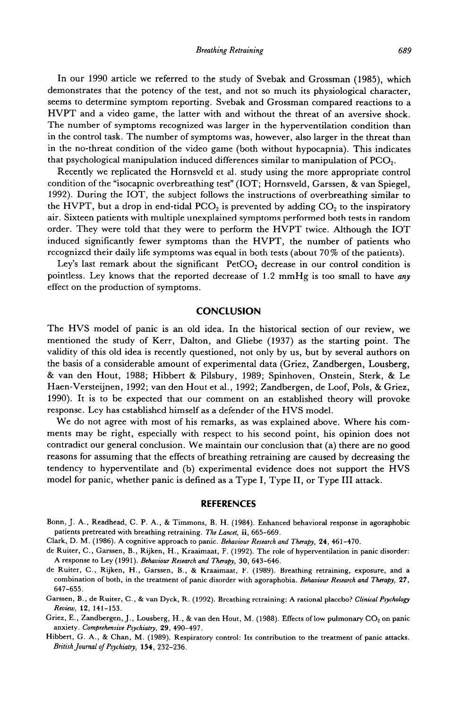In our 1990 article we referred to the study of Svebak and Grossman (1985), which demonstrates that the potency of the test, and not so much its physiological character, seems to determine symptom reporting. Svebak and Grossman compared reactions to a HVPT and a video game, the latter with and without the threat of an aversive shock. The number of symptoms recognized was larger in the hyperventilation condition than in the control task. The number of symptoms was, however, also larger in the threat than in the no-threat condition of the video game (both without hypocapnia). This indicates that psychological manipulation induced differences similar to manipulation of PCO,.

Recently we replicated the Hornsveld et al. study using the more appropriate control condition of the "isocapnic overbreathing test" (IOT; Hornsveld, Garssen, & van Spiegel, 1992). During the IOT, the subject follows the instructions of overbreathing similar to the HVPT, but a drop in end-tidal PCO<sub>2</sub> is prevented by adding  $CO<sub>2</sub>$  to the inspiratory air. Sixteen patients with multiple unexplained symptoms performed both tests in random order. They were told that they were to perform the HVPT twice. Although the IOT induced significantly fewer symptoms than the HVPT, the number of patients who recognized their daily life symptoms was equal in both tests (about 70 % of the patients).

Ley's last remark about the significant  $PetCO<sub>2</sub>$  decrease in our control condition is pointless. Ley knows that the reported decrease of 1.2 mmHg is too small to have any effect on the production of symptoms.

#### **CONCLUSION**

The HVS model of panic is an old idea. In the historical section of our review, we mentioned the study of Kerr, Dalton, and Gliebe (1937) as the starting point. The validity of this old idea is recently questioned, not only by us, but by several authors on the basis of a considerable amount of experimental data (Griez, Zandbergen, Lousberg, & van den Hout, 1988; Hibbert & Pilsbury, 1989; Spinhoven, Onstein, Sterk, & Le Haen-Versteijnen, 1992; van den Hout et al., 1992; Zandbergen, de Loof, Pols, & Griez, 1990). It is to be expected that our comment on an established theory will provoke response. Ley has established himself as a defender of the HVS model.

We do not agree with most of his remarks, as was explained above. Where his comments may be right, especially with respect to his second point, his opinion does not contradict our general conclusion. We maintain our conclusion that (a) there are no good reasons for assuming that the effects of breathing retraining are caused by decreasing the tendency to hyperventilate and (b) experimental evidence does not support the HVS model for panic, whether panic is defined as a Type I, Type II, or Type III attack.

#### **REFERENCES**

- **Bonn, J. A., Readhead, C. P. A., & Timmons, B. H. (1984). Enhanced behavioral response in agoraphobic patients pretreated with breathing retraining.** *The Lancef,* **ii, 665-669.**
- **Clark, D. M. (1986). A cognitive approach to panic.** *Behauiour Research and Therapy, 24, 461-470.*
- **de Ruiter, C., Garssen, B., Rijken, H., Kraaimaat, F. (1992). The role of hyperventilation in panic disorder:**  A response to Ley (1991). *Behaviour Research and Therapy*, 30, 643-646.
- **de Ruiter, C., Rijken, H., Garssen, B., & Kraaimaat, F. (1989). Breathing retraining, exposure, and a combination of both, in the treatment of panic disorder with agoraphobia.** *Behaviour Research and Therapy, 27, 647-655.*
- **Garssen, B., de Ruiter, C.,** & **van Dyck, R. (1992). B reathing retraining: A rational placebo? Clinical** *Psychology Review, 12, 141-153.*
- Griez, E., Zandbergen, J., Lousberg, H., & van den Hout, M. (1988). Effects of low pulmonary CO<sub>2</sub> on panic **anxiety.** *Comprehensive Psychiatry, 29, 490-497.*
- **Hibbert, G. A., & Chan, M. (1989). Respiratory control: Its contribution to the treatment of panic attacks.**  *British Journal of Psychiatry, 154, 232-236.*